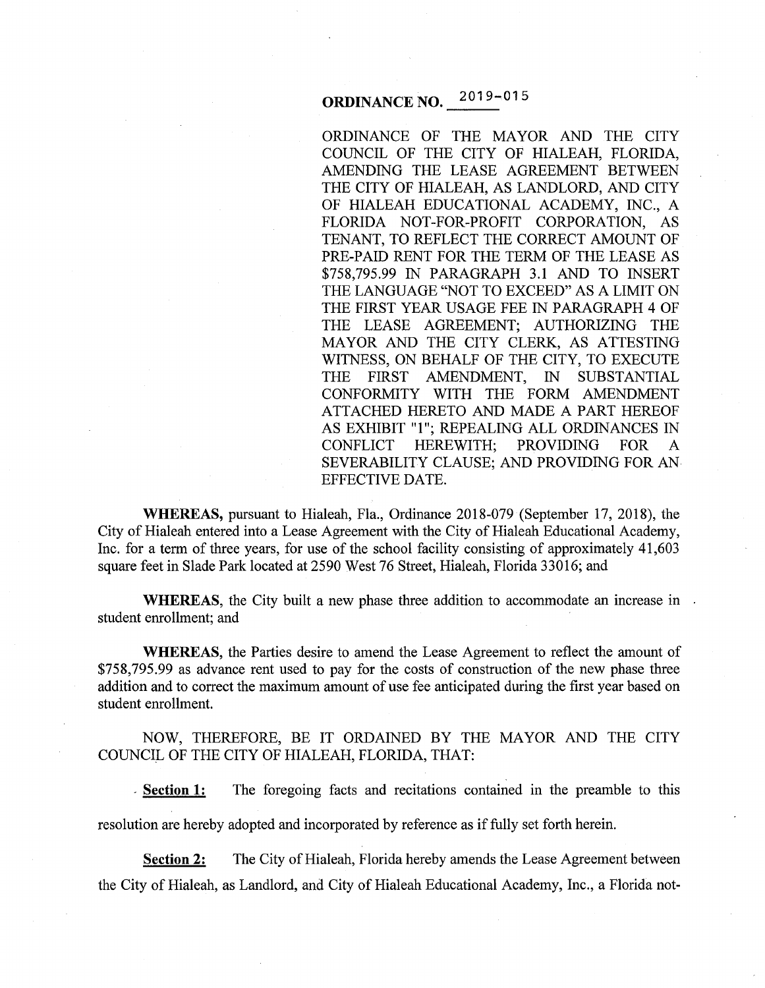# **ORDINANCE NO.** 2019-015

ORDINANCE OF THE MAYOR AND THE CITY COUNCIL OF THE CITY OF HIALEAH, FLORIDA, AMENDING THE LEASE AGREEMENT BETWEEN THE CITY OF HIALEAH, AS LANDLORD, AND CITY OF HIALEAH EDUCATIONAL ACADEMY, INC., A FLORIDA NOT-FOR-PROFIT CORPORATION, AS TENANT, TO REFLECT THE CORRECT AMOUNT OF PRE-PAID RENT FOR THE TERM OF THE LEASE AS \$758,795.99 IN PARAGRAPH 3.1 AND TO INSERT THE LANGUAGE "NOT TO EXCEED" AS A LIMIT ON THE FIRST YEAR USAGE FEE IN PARAGRAPH 4 OF THE LEASE AGREEMENT; AUTHORIZING THE MAYOR AND THE CITY CLERK, AS ATTESTING WITNESS, ON BEHALF OF THE CITY, TO EXECUTE THE FIRST AMENDMENT, IN SUBSTANTIAL CONFORMITY WITH THE FORM AMENDMENT ATTACHED HERETO AND MADE A PART HEREOF AS EXHIBIT **"1";** REPEALING ALL ORDINANCES IN CONFLICT HEREWITH; PROVIDING FOR A SEVERABILITY CLAUSE; AND PROVIDING FOR AN EFFECTIVE DATE.

**WHEREAS,** pursuant to Hialeah, Fla., Ordinance 2018-079 (September 17, 2018), the City of Hialeah entered into a Lease Agreement with the City of Hialeah Educational Academy, Inc. for a term of three years, for use of the school facility consisting of approximately 41 ,603 square feet in Slade Park located at 2590 West 76 Street, Hialeah, Florida 33016; and

**WHEREAS**, the City built a new phase three addition to accommodate an increase in student enrollment; and

**WHEREAS,** the Parties desire to amend the Lease Agreement to reflect the amount of \$758,795.99 as advance rent used to pay for the costs of construction of the new phase three addition and to correct the maximum amount of use fee anticipated during the first year based on student enrollment.

NOW, THEREFORE, BE IT ORDAINED BY THE MAYOR AND THE CITY COUNCIL OF THE CITY OF HIALEAH, FLORIDA, THAT:

<sup>~</sup>**Section 1:** The foregoing facts and recitations contained in the preamble to this

resolution are hereby adopted and incorporated by reference as if fully set forth herein.

**Section 2:** The City of Hialeah, Florida hereby amends the Lease Agreement between the City of Hialeah, as Landlord, and City of Hialeah Educational Academy, Inc., a Florida not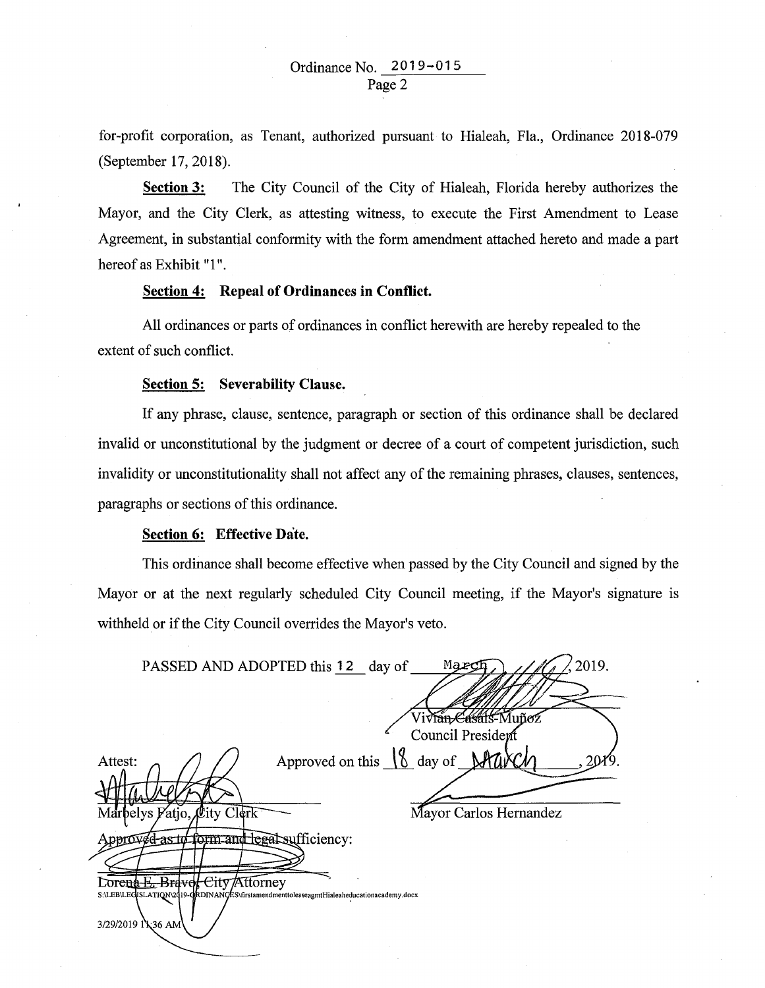for-profit corporation, as Tenant, authorized pursuant to Hialeah, Fla., Ordinance 2018-079 (September 17, 2018).

**Section 3:** The City Council of the City of Hialeah, Florida hereby authorizes the Mayor, and the City Clerk, as attesting witness, to execute the First Amendment to Lease Agreement, in substantial conformity with the form amendment attached hereto and made a part hereof as Exhibit "1".

## **Section 4: Repeal of Ordinances in Conflict.**

All ordinances or parts of ordinances in conflict herewith are hereby repealed to the extent of such conflict.

#### **Section 5: Severability Clause.**

If any phrase, clause, sentence, paragraph or section of this ordinance shall be declared invalid or unconstitutional by the judgment or decree of a court of competent jurisdiction, such invalidity or unconstitutionality shall not affect any of the remaining phrases, clauses, sentences, paragraphs or sections of this ordinance.

## **Section 6: Effective Date.**

This ordinance shall become effective when passed by the City Council and signed by the Mayor or at the next regularly scheduled City Council meeting, if the Mayor's signature is withheld or if the City Council overrides the Mayor's veto.

| 2019.<br>PASSED AND ADOPTED this 12 day of<br>Mar                                                             |
|---------------------------------------------------------------------------------------------------------------|
|                                                                                                               |
| Viv <del>ián Cásáls-</del> Muñoz                                                                              |
| Council President                                                                                             |
| Approved on this 18 day of March<br>Attest:                                                                   |
|                                                                                                               |
| Marbelys Fatjo, City Clerk<br>Mayor Carlos Hernandez                                                          |
| oproved as to form and legal sufficiency:                                                                     |
|                                                                                                               |
| Lorena E. Bravol City Attorney                                                                                |
| S:\LEB\LEGISLATIQN\2019-GRDINANGES\firstamendmenttoleaseagmtHialeaheducationacademy.docx<br>3/29/2019 1\36 AM |
|                                                                                                               |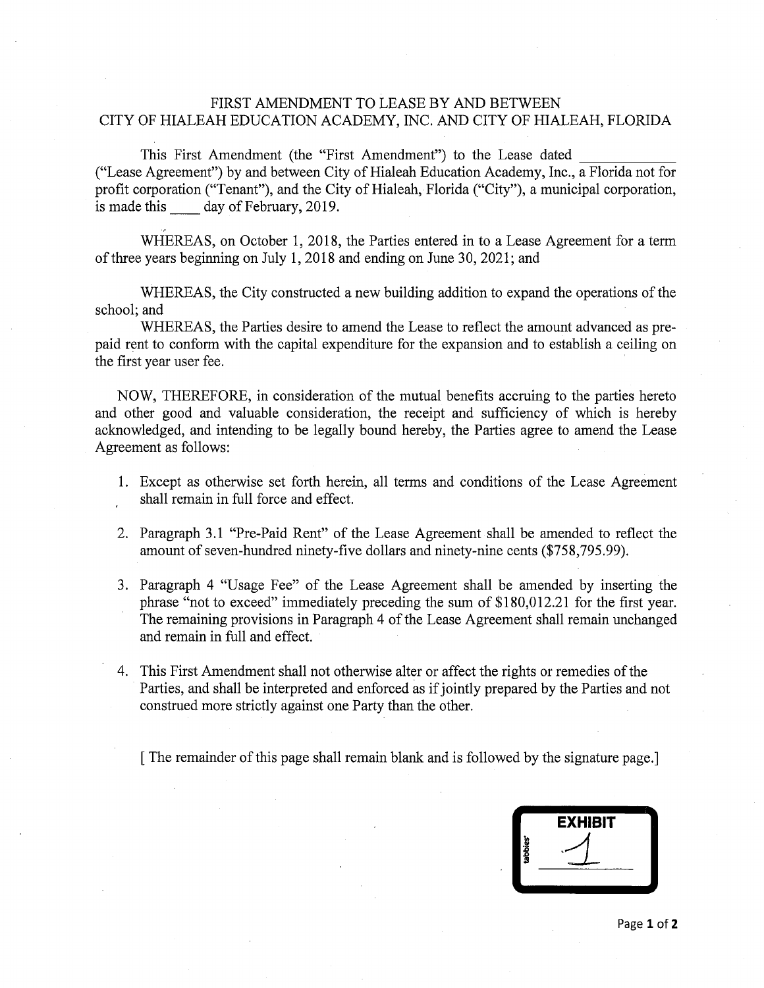# FIRST AMENDMENT TO LEASE BY AND BETWEEN CITY OF HIALEAH EDUCATION ACADEMY, INC. AND CITY OF HIALEAH, FLORIDA

This First Amendment (the "First Amendment") to the Lease dated ("Lease Agreement") by and between City of Hialeah Education Academy, Inc., a Florida not for profit corporation ("Tenant"), and the City of Hialeah, Florida ("City"), a municipal corporation, is made this day of February, 2019.

WHEREAS, on October 1, 2018, the Parties entered in to a Lease Agreement for a term of three years beginning on July 1, 2018 and ending on June 30, 2021; and

WHEREAS, the City constructed a new building addition to expand the operations of the school; and

WHEREAS, the Parties desire to amend the Lease to reflect the amount advanced as prepaid rent to conform with the capital expenditure for the expansion and to establish a ceiling on the first year user fee.

NOW, THEREFORE, in consideration of the mutual benefits accruing to the parties hereto and other good and valuable consideration, the receipt and sufficiency of which is hereby acknowledged, and intending to be legally bound hereby, the Parties agree to amend the Lease Agreement as follows:

- 1. Except as otherwise set forth herein, all terms and conditions of the Lease Agreement shall remain in full force and effect.
- 2. Paragraph 3.1 "Pre-Paid Rent" of the Lease Agreement shall be amended to reflect the amount of seven-hundred ninety-five dollars and ninety-nine cents (\$758,795.99).
- 3. Paragraph 4 "Usage Fee" of the Lease Agreement shall be amended by inserting the phrase "not to exceed" immediately preceding the sum of \$180,012.21 for the first year. The remaining provisions in Paragraph 4 of the Lease Agreement shall remain unchanged and remain in full and effect.
- 4. This First Amendment shall not otherwise alter or affect the rights or remedies of the Parties, and shall be interpreted and enforced as if jointly prepared by the Parties and not construed more strictly against one Party than the other.

[The remainder of this page shall remain blank and is followed by the signature page.]

|                      | <b>EXHIBIT</b> |  |
|----------------------|----------------|--|
| tabbies <sup>®</sup> |                |  |
|                      |                |  |
|                      |                |  |